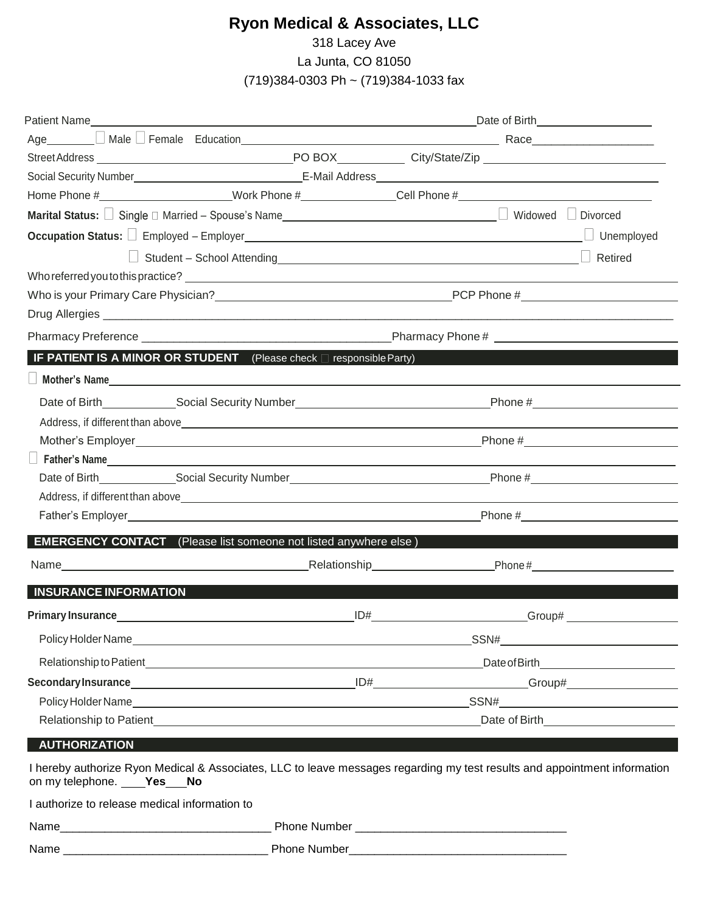## **Ryon Medical & Associates, LLC**

318 Lacey Ave

La Junta, CO 81050

(719)384-0303 Ph ~ (719)384-1033 fax

| Occupation Status: Fmployed - Employer<br>Status: The Monday Contract Contract of Status: Contract Contract Contract Contract Contract Contract Contract Contract Contract Contract Contract Contract Contract Contract Contract<br>Unemployed<br>Student - School Attending<br>Student - School Attending<br>Retired<br><b>IF PATIENT IS A MINOR OR STUDENT</b> (Please check $\Box$ responsible Party)<br>Mother's Name<br>Father's Name <b>Example 2018</b> and 2018 and 2018 and 2018 and 2018 and 2018 and 2018 and 2018 and 2018 and 2018 and 2018 and 2018 and 2018 and 2018 and 2018 and 2018 and 2018 and 2018 and 2018 and 2018 and 2018 and 2018 and<br>Address, if different than above experience of the state of the state of the state of the state of the state of the state of the state of the state of the state of the state of the state of the state of the state of the st<br><b>EMERGENCY CONTACT</b> (Please list someone not listed anywhere else)<br>Name <b>Mame</b> Mame Mame Mame Mame Mame Mame Mame Annual Contract and Contract and Contract and Contract and Contract and Contract and Contract and Contract and Contract and Contract and Contract and Contract and Contract and<br><b>INSURANCE INFORMATION</b><br>Primary Insurance <b>Exercise Service Service Service Service Service Service Service Service Service Service Service Service Service Service Service Service Service Service Service Service Service Service Service Service Se</b><br>ID# |
|----------------------------------------------------------------------------------------------------------------------------------------------------------------------------------------------------------------------------------------------------------------------------------------------------------------------------------------------------------------------------------------------------------------------------------------------------------------------------------------------------------------------------------------------------------------------------------------------------------------------------------------------------------------------------------------------------------------------------------------------------------------------------------------------------------------------------------------------------------------------------------------------------------------------------------------------------------------------------------------------------------------------------------------------------------------------------------------------------------------------------------------------------------------------------------------------------------------------------------------------------------------------------------------------------------------------------------------------------------------------------------------------------------------------------------------------------------------------------------------------------|
| Policy Holder Name SSN#                                                                                                                                                                                                                                                                                                                                                                                                                                                                                                                                                                                                                                                                                                                                                                                                                                                                                                                                                                                                                                                                                                                                                                                                                                                                                                                                                                                                                                                                            |
|                                                                                                                                                                                                                                                                                                                                                                                                                                                                                                                                                                                                                                                                                                                                                                                                                                                                                                                                                                                                                                                                                                                                                                                                                                                                                                                                                                                                                                                                                                    |
|                                                                                                                                                                                                                                                                                                                                                                                                                                                                                                                                                                                                                                                                                                                                                                                                                                                                                                                                                                                                                                                                                                                                                                                                                                                                                                                                                                                                                                                                                                    |
|                                                                                                                                                                                                                                                                                                                                                                                                                                                                                                                                                                                                                                                                                                                                                                                                                                                                                                                                                                                                                                                                                                                                                                                                                                                                                                                                                                                                                                                                                                    |
|                                                                                                                                                                                                                                                                                                                                                                                                                                                                                                                                                                                                                                                                                                                                                                                                                                                                                                                                                                                                                                                                                                                                                                                                                                                                                                                                                                                                                                                                                                    |
|                                                                                                                                                                                                                                                                                                                                                                                                                                                                                                                                                                                                                                                                                                                                                                                                                                                                                                                                                                                                                                                                                                                                                                                                                                                                                                                                                                                                                                                                                                    |
|                                                                                                                                                                                                                                                                                                                                                                                                                                                                                                                                                                                                                                                                                                                                                                                                                                                                                                                                                                                                                                                                                                                                                                                                                                                                                                                                                                                                                                                                                                    |
|                                                                                                                                                                                                                                                                                                                                                                                                                                                                                                                                                                                                                                                                                                                                                                                                                                                                                                                                                                                                                                                                                                                                                                                                                                                                                                                                                                                                                                                                                                    |
|                                                                                                                                                                                                                                                                                                                                                                                                                                                                                                                                                                                                                                                                                                                                                                                                                                                                                                                                                                                                                                                                                                                                                                                                                                                                                                                                                                                                                                                                                                    |
|                                                                                                                                                                                                                                                                                                                                                                                                                                                                                                                                                                                                                                                                                                                                                                                                                                                                                                                                                                                                                                                                                                                                                                                                                                                                                                                                                                                                                                                                                                    |
|                                                                                                                                                                                                                                                                                                                                                                                                                                                                                                                                                                                                                                                                                                                                                                                                                                                                                                                                                                                                                                                                                                                                                                                                                                                                                                                                                                                                                                                                                                    |
|                                                                                                                                                                                                                                                                                                                                                                                                                                                                                                                                                                                                                                                                                                                                                                                                                                                                                                                                                                                                                                                                                                                                                                                                                                                                                                                                                                                                                                                                                                    |
|                                                                                                                                                                                                                                                                                                                                                                                                                                                                                                                                                                                                                                                                                                                                                                                                                                                                                                                                                                                                                                                                                                                                                                                                                                                                                                                                                                                                                                                                                                    |
|                                                                                                                                                                                                                                                                                                                                                                                                                                                                                                                                                                                                                                                                                                                                                                                                                                                                                                                                                                                                                                                                                                                                                                                                                                                                                                                                                                                                                                                                                                    |
|                                                                                                                                                                                                                                                                                                                                                                                                                                                                                                                                                                                                                                                                                                                                                                                                                                                                                                                                                                                                                                                                                                                                                                                                                                                                                                                                                                                                                                                                                                    |
|                                                                                                                                                                                                                                                                                                                                                                                                                                                                                                                                                                                                                                                                                                                                                                                                                                                                                                                                                                                                                                                                                                                                                                                                                                                                                                                                                                                                                                                                                                    |
|                                                                                                                                                                                                                                                                                                                                                                                                                                                                                                                                                                                                                                                                                                                                                                                                                                                                                                                                                                                                                                                                                                                                                                                                                                                                                                                                                                                                                                                                                                    |
|                                                                                                                                                                                                                                                                                                                                                                                                                                                                                                                                                                                                                                                                                                                                                                                                                                                                                                                                                                                                                                                                                                                                                                                                                                                                                                                                                                                                                                                                                                    |
|                                                                                                                                                                                                                                                                                                                                                                                                                                                                                                                                                                                                                                                                                                                                                                                                                                                                                                                                                                                                                                                                                                                                                                                                                                                                                                                                                                                                                                                                                                    |
|                                                                                                                                                                                                                                                                                                                                                                                                                                                                                                                                                                                                                                                                                                                                                                                                                                                                                                                                                                                                                                                                                                                                                                                                                                                                                                                                                                                                                                                                                                    |
|                                                                                                                                                                                                                                                                                                                                                                                                                                                                                                                                                                                                                                                                                                                                                                                                                                                                                                                                                                                                                                                                                                                                                                                                                                                                                                                                                                                                                                                                                                    |
|                                                                                                                                                                                                                                                                                                                                                                                                                                                                                                                                                                                                                                                                                                                                                                                                                                                                                                                                                                                                                                                                                                                                                                                                                                                                                                                                                                                                                                                                                                    |
|                                                                                                                                                                                                                                                                                                                                                                                                                                                                                                                                                                                                                                                                                                                                                                                                                                                                                                                                                                                                                                                                                                                                                                                                                                                                                                                                                                                                                                                                                                    |
|                                                                                                                                                                                                                                                                                                                                                                                                                                                                                                                                                                                                                                                                                                                                                                                                                                                                                                                                                                                                                                                                                                                                                                                                                                                                                                                                                                                                                                                                                                    |
|                                                                                                                                                                                                                                                                                                                                                                                                                                                                                                                                                                                                                                                                                                                                                                                                                                                                                                                                                                                                                                                                                                                                                                                                                                                                                                                                                                                                                                                                                                    |
|                                                                                                                                                                                                                                                                                                                                                                                                                                                                                                                                                                                                                                                                                                                                                                                                                                                                                                                                                                                                                                                                                                                                                                                                                                                                                                                                                                                                                                                                                                    |
|                                                                                                                                                                                                                                                                                                                                                                                                                                                                                                                                                                                                                                                                                                                                                                                                                                                                                                                                                                                                                                                                                                                                                                                                                                                                                                                                                                                                                                                                                                    |
|                                                                                                                                                                                                                                                                                                                                                                                                                                                                                                                                                                                                                                                                                                                                                                                                                                                                                                                                                                                                                                                                                                                                                                                                                                                                                                                                                                                                                                                                                                    |
|                                                                                                                                                                                                                                                                                                                                                                                                                                                                                                                                                                                                                                                                                                                                                                                                                                                                                                                                                                                                                                                                                                                                                                                                                                                                                                                                                                                                                                                                                                    |
| Relationship to Patient excessive and the contract of the contract of Birth Changes and Changes and Changes and Changes and Changes and Changes and Changes and Changes and Changes and Changes and Changes and Changes and Ch                                                                                                                                                                                                                                                                                                                                                                                                                                                                                                                                                                                                                                                                                                                                                                                                                                                                                                                                                                                                                                                                                                                                                                                                                                                                     |
| <b>AUTHORIZATION</b>                                                                                                                                                                                                                                                                                                                                                                                                                                                                                                                                                                                                                                                                                                                                                                                                                                                                                                                                                                                                                                                                                                                                                                                                                                                                                                                                                                                                                                                                               |
| I hereby authorize Ryon Medical & Associates, LLC to leave messages regarding my test results and appointment information<br>on my telephone. Ves No                                                                                                                                                                                                                                                                                                                                                                                                                                                                                                                                                                                                                                                                                                                                                                                                                                                                                                                                                                                                                                                                                                                                                                                                                                                                                                                                               |
| I authorize to release medical information to                                                                                                                                                                                                                                                                                                                                                                                                                                                                                                                                                                                                                                                                                                                                                                                                                                                                                                                                                                                                                                                                                                                                                                                                                                                                                                                                                                                                                                                      |
|                                                                                                                                                                                                                                                                                                                                                                                                                                                                                                                                                                                                                                                                                                                                                                                                                                                                                                                                                                                                                                                                                                                                                                                                                                                                                                                                                                                                                                                                                                    |
|                                                                                                                                                                                                                                                                                                                                                                                                                                                                                                                                                                                                                                                                                                                                                                                                                                                                                                                                                                                                                                                                                                                                                                                                                                                                                                                                                                                                                                                                                                    |